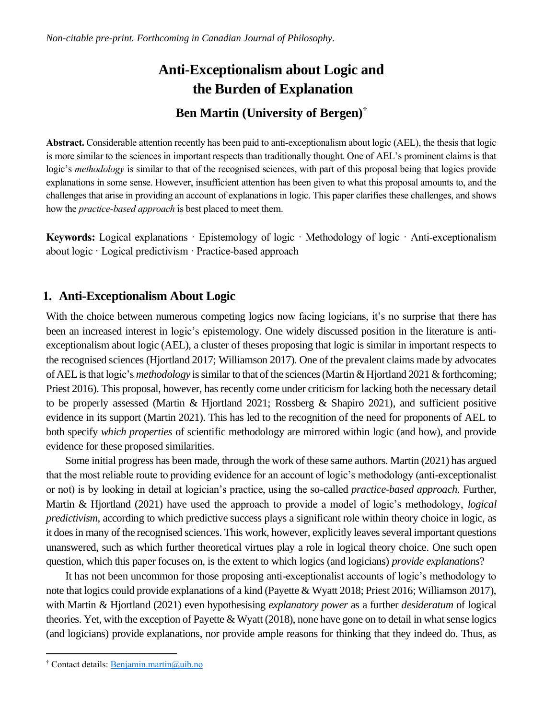# **Anti-Exceptionalism about Logic and the Burden of Explanation Ben Martin (University of Bergen)†**

**Abstract.** Considerable attention recently has been paid to anti-exceptionalism about logic (AEL), the thesis that logic is more similar to the sciences in important respects than traditionally thought. One of AEL's prominent claims is that logic's *methodology* is similar to that of the recognised sciences, with part of this proposal being that logics provide explanations in some sense. However, insufficient attention has been given to what this proposal amounts to, and the challenges that arise in providing an account of explanations in logic. This paper clarifies these challenges, and shows how the *practice-based approach* is best placed to meet them.

**Keywords:** Logical explanations · Epistemology of logic · Methodology of logic · Anti-exceptionalism about logic · Logical predictivism · Practice-based approach

# **1. Anti-Exceptionalism About Logic**

With the choice between numerous competing logics now facing logicians, it's no surprise that there has been an increased interest in logic's epistemology. One widely discussed position in the literature is antiexceptionalism about logic (AEL), a cluster of theses proposing that logic is similar in important respects to the recognised sciences (Hjortland 2017; Williamson 2017). One of the prevalent claims made by advocates of AEL is that logic's *methodology* is similar to that of the sciences (Martin & Hjortland 2021 & forthcoming; Priest 2016). This proposal, however, has recently come under criticism for lacking both the necessary detail to be properly assessed (Martin & Hjortland 2021; Rossberg & Shapiro 2021), and sufficient positive evidence in its support (Martin 2021). This has led to the recognition of the need for proponents of AEL to both specify *which properties* of scientific methodology are mirrored within logic (and how), and provide evidence for these proposed similarities.

Some initial progress has been made, through the work of these same authors. Martin (2021) has argued that the most reliable route to providing evidence for an account of logic's methodology (anti-exceptionalist or not) is by looking in detail at logician's practice, using the so-called *practice-based approach*. Further, Martin & Hjortland (2021) have used the approach to provide a model of logic's methodology, *logical predictivism*, according to which predictive success plays a significant role within theory choice in logic, as it does in many of the recognised sciences. This work, however, explicitly leaves several important questions unanswered, such as which further theoretical virtues play a role in logical theory choice. One such open question, which this paper focuses on, is the extent to which logics (and logicians) *provide explanations*?

It has not been uncommon for those proposing anti-exceptionalist accounts of logic's methodology to note that logics could provide explanations of a kind (Payette & Wyatt 2018; Priest 2016; Williamson 2017), with Martin & Hjortland (2021) even hypothesising *explanatory power* as a further *desideratum* of logical theories. Yet, with the exception of Payette & Wyatt (2018), none have gone on to detail in what sense logics (and logicians) provide explanations, nor provide ample reasons for thinking that they indeed do. Thus, as

<sup>†</sup> Contact details: [Benjamin.martin@uib.no](mailto:Benjamin.martin@uib.no)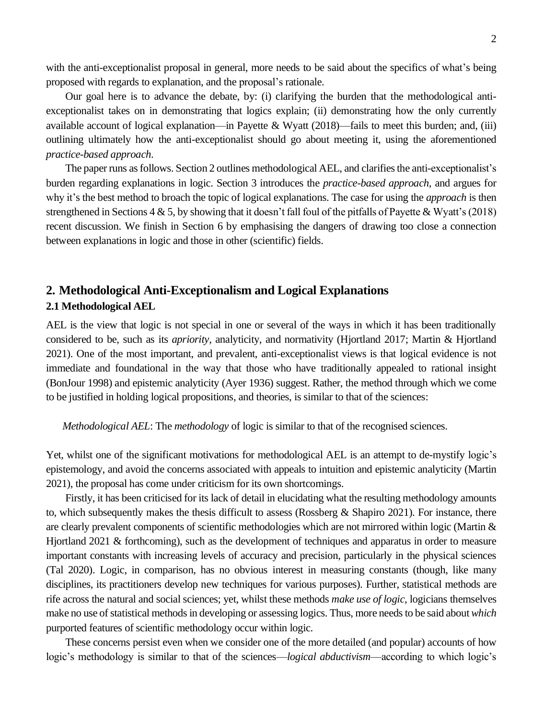with the anti-exceptionalist proposal in general, more needs to be said about the specifics of what's being proposed with regards to explanation, and the proposal's rationale.

Our goal here is to advance the debate, by: (i) clarifying the burden that the methodological antiexceptionalist takes on in demonstrating that logics explain; (ii) demonstrating how the only currently available account of logical explanation—in Payette & Wyatt  $(2018)$ —fails to meet this burden; and, (iii) outlining ultimately how the anti-exceptionalist should go about meeting it, using the aforementioned *practice-based approach*.

The paper runs as follows. Section 2 outlines methodological AEL, and clarifies the anti-exceptionalist's burden regarding explanations in logic. Section 3 introduces the *practice-based approach*, and argues for why it's the best method to broach the topic of logical explanations. The case for using the *approach* is then strengthened in Sections 4  $\&$  5, by showing that it doesn't fall foul of the pitfalls of Payette  $\&$  Wyatt's (2018) recent discussion. We finish in Section 6 by emphasising the dangers of drawing too close a connection between explanations in logic and those in other (scientific) fields.

# **2. Methodological Anti-Exceptionalism and Logical Explanations 2.1 Methodological AEL**

AEL is the view that logic is not special in one or several of the ways in which it has been traditionally considered to be, such as its *apriority*, analyticity, and normativity (Hjortland 2017; Martin & Hjortland 2021). One of the most important, and prevalent, anti-exceptionalist views is that logical evidence is not immediate and foundational in the way that those who have traditionally appealed to rational insight (BonJour 1998) and epistemic analyticity (Ayer 1936) suggest. Rather, the method through which we come to be justified in holding logical propositions, and theories, is similar to that of the sciences:

*Methodological AEL*: The *methodology* of logic is similar to that of the recognised sciences.

Yet, whilst one of the significant motivations for methodological AEL is an attempt to de-mystify logic's epistemology, and avoid the concerns associated with appeals to intuition and epistemic analyticity (Martin 2021), the proposal has come under criticism for its own shortcomings.

Firstly, it has been criticised for its lack of detail in elucidating what the resulting methodology amounts to, which subsequently makes the thesis difficult to assess (Rossberg & Shapiro 2021). For instance, there are clearly prevalent components of scientific methodologies which are not mirrored within logic (Martin & Hjortland 2021 & forthcoming), such as the development of techniques and apparatus in order to measure important constants with increasing levels of accuracy and precision, particularly in the physical sciences (Tal 2020). Logic, in comparison, has no obvious interest in measuring constants (though, like many disciplines, its practitioners develop new techniques for various purposes). Further, statistical methods are rife across the natural and social sciences; yet, whilst these methods *make use of logic*, logicians themselves make no use of statistical methods in developing or assessing logics. Thus, more needs to be said about*which*  purported features of scientific methodology occur within logic.

These concerns persist even when we consider one of the more detailed (and popular) accounts of how logic's methodology is similar to that of the sciences—*logical abductivism*—according to which logic's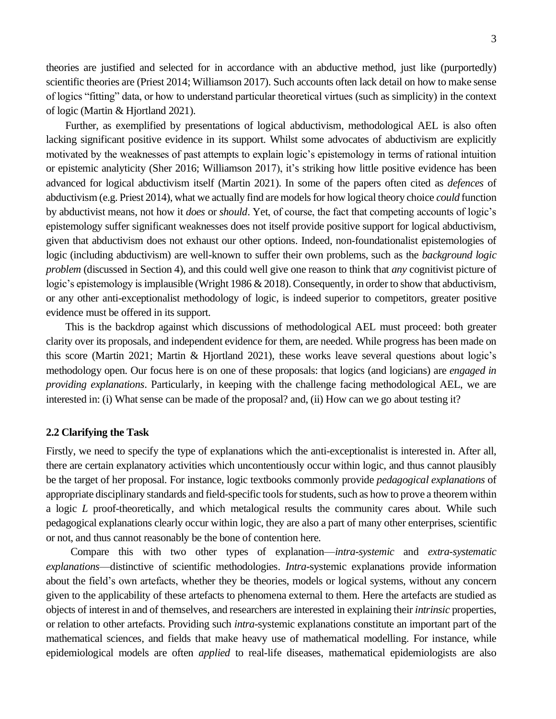theories are justified and selected for in accordance with an abductive method, just like (purportedly) scientific theories are (Priest 2014; Williamson 2017). Such accounts often lack detail on how to make sense of logics "fitting" data, or how to understand particular theoretical virtues (such as simplicity) in the context of logic (Martin & Hjortland 2021).

Further, as exemplified by presentations of logical abductivism, methodological AEL is also often lacking significant positive evidence in its support. Whilst some advocates of abductivism are explicitly motivated by the weaknesses of past attempts to explain logic's epistemology in terms of rational intuition or epistemic analyticity (Sher 2016; Williamson 2017), it's striking how little positive evidence has been advanced for logical abductivism itself (Martin 2021). In some of the papers often cited as *defences* of abductivism (e.g. Priest 2014), what we actually find are models for how logical theory choice *could* function by abductivist means, not how it *does* or *should*. Yet, of course, the fact that competing accounts of logic's epistemology suffer significant weaknesses does not itself provide positive support for logical abductivism, given that abductivism does not exhaust our other options. Indeed, non-foundationalist epistemologies of logic (including abductivism) are well-known to suffer their own problems, such as the *background logic problem* (discussed in Section 4), and this could well give one reason to think that *any* cognitivist picture of logic's epistemology is implausible (Wright 1986 & 2018). Consequently, in order to show that abductivism, or any other anti-exceptionalist methodology of logic, is indeed superior to competitors, greater positive evidence must be offered in its support.

This is the backdrop against which discussions of methodological AEL must proceed: both greater clarity over its proposals, and independent evidence for them, are needed. While progress has been made on this score (Martin 2021; Martin & Hjortland 2021), these works leave several questions about logic's methodology open. Our focus here is on one of these proposals: that logics (and logicians) are *engaged in providing explanations*. Particularly, in keeping with the challenge facing methodological AEL, we are interested in: (i) What sense can be made of the proposal? and, (ii) How can we go about testing it?

#### **2.2 Clarifying the Task**

Firstly, we need to specify the type of explanations which the anti-exceptionalist is interested in. After all, there are certain explanatory activities which uncontentiously occur within logic, and thus cannot plausibly be the target of her proposal. For instance, logic textbooks commonly provide *pedagogical explanations* of appropriate disciplinary standards and field-specific toolsfor students, such as how to prove a theorem within a logic *L* proof-theoretically, and which metalogical results the community cares about. While such pedagogical explanations clearly occur within logic, they are also a part of many other enterprises, scientific or not, and thus cannot reasonably be the bone of contention here.

Compare this with two other types of explanation—*intra-systemic* and *extra-systematic explanations*—distinctive of scientific methodologies. *Intra*-systemic explanations provide information about the field's own artefacts, whether they be theories, models or logical systems, without any concern given to the applicability of these artefacts to phenomena external to them. Here the artefacts are studied as objects of interest in and of themselves, and researchers are interested in explaining their *intrinsic* properties, or relation to other artefacts. Providing such *intra-*systemic explanations constitute an important part of the mathematical sciences, and fields that make heavy use of mathematical modelling. For instance, while epidemiological models are often *applied* to real-life diseases, mathematical epidemiologists are also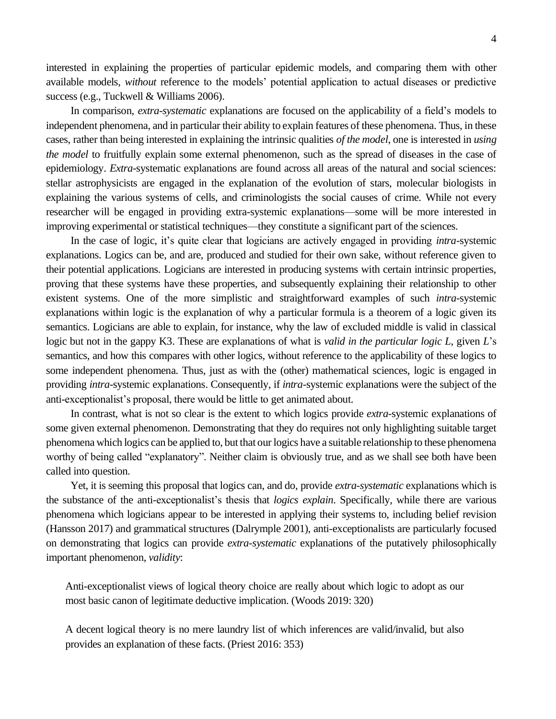interested in explaining the properties of particular epidemic models, and comparing them with other available models, *without* reference to the models' potential application to actual diseases or predictive success (e.g., Tuckwell & Williams 2006).

In comparison, *extra-systematic* explanations are focused on the applicability of a field's models to independent phenomena, and in particular their ability to explain features of these phenomena. Thus, in these cases, rather than being interested in explaining the intrinsic qualities *of the model*, one is interested in *using the model* to fruitfully explain some external phenomenon, such as the spread of diseases in the case of epidemiology. *Extra-*systematic explanations are found across all areas of the natural and social sciences: stellar astrophysicists are engaged in the explanation of the evolution of stars, molecular biologists in explaining the various systems of cells, and criminologists the social causes of crime. While not every researcher will be engaged in providing extra-systemic explanations—some will be more interested in improving experimental or statistical techniques—they constitute a significant part of the sciences.

In the case of logic, it's quite clear that logicians are actively engaged in providing *intra-*systemic explanations. Logics can be, and are, produced and studied for their own sake, without reference given to their potential applications. Logicians are interested in producing systems with certain intrinsic properties, proving that these systems have these properties, and subsequently explaining their relationship to other existent systems. One of the more simplistic and straightforward examples of such *intra*-systemic explanations within logic is the explanation of why a particular formula is a theorem of a logic given its semantics. Logicians are able to explain, for instance, why the law of excluded middle is valid in classical logic but not in the gappy K3. These are explanations of what is *valid in the particular logic L*, given *L*'s semantics, and how this compares with other logics, without reference to the applicability of these logics to some independent phenomena. Thus, just as with the (other) mathematical sciences, logic is engaged in providing *intra-*systemic explanations. Consequently, if *intra-*systemic explanations were the subject of the anti-exceptionalist's proposal, there would be little to get animated about.

In contrast, what is not so clear is the extent to which logics provide *extra-*systemic explanations of some given external phenomenon. Demonstrating that they do requires not only highlighting suitable target phenomena which logics can be applied to, but that our logics have a suitable relationship to these phenomena worthy of being called "explanatory". Neither claim is obviously true, and as we shall see both have been called into question.

Yet, it is seeming this proposal that logics can, and do, provide *extra-systematic* explanations which is the substance of the anti-exceptionalist's thesis that *logics explain*. Specifically, while there are various phenomena which logicians appear to be interested in applying their systems to, including belief revision (Hansson 2017) and grammatical structures (Dalrymple 2001), anti-exceptionalists are particularly focused on demonstrating that logics can provide *extra-systematic* explanations of the putatively philosophically important phenomenon, *validity*:

Anti-exceptionalist views of logical theory choice are really about which logic to adopt as our most basic canon of legitimate deductive implication. (Woods 2019: 320)

A decent logical theory is no mere laundry list of which inferences are valid/invalid, but also provides an explanation of these facts. (Priest 2016: 353)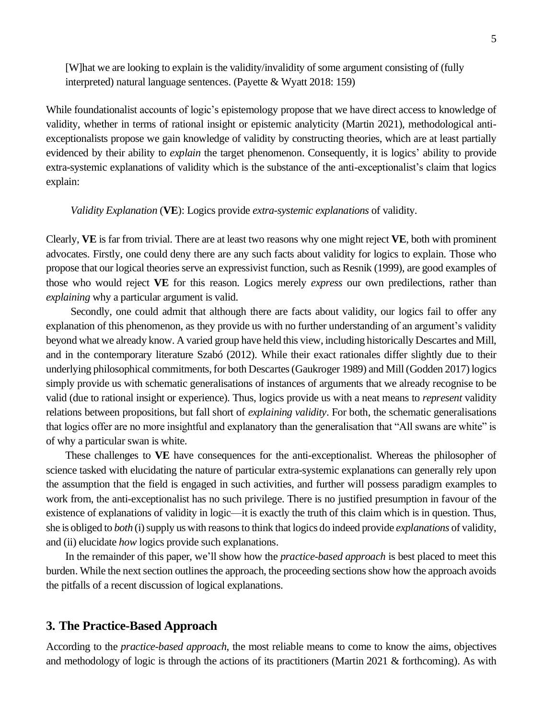[W]hat we are looking to explain is the validity/invalidity of some argument consisting of (fully interpreted) natural language sentences. (Payette & Wyatt 2018: 159)

While foundationalist accounts of logic's epistemology propose that we have direct access to knowledge of validity, whether in terms of rational insight or epistemic analyticity (Martin 2021), methodological antiexceptionalists propose we gain knowledge of validity by constructing theories, which are at least partially evidenced by their ability to *explain* the target phenomenon. Consequently, it is logics' ability to provide extra-systemic explanations of validity which is the substance of the anti-exceptionalist's claim that logics explain:

*Validity Explanation* (**VE**): Logics provide *extra-systemic explanations* of validity.

Clearly, **VE** is far from trivial. There are at least two reasons why one might reject **VE**, both with prominent advocates. Firstly, one could deny there are any such facts about validity for logics to explain. Those who propose that our logical theories serve an expressivist function, such as Resnik (1999), are good examples of those who would reject **VE** for this reason. Logics merely *express* our own predilections, rather than *explaining* why a particular argument is valid.

Secondly, one could admit that although there are facts about validity, our logics fail to offer any explanation of this phenomenon, as they provide us with no further understanding of an argument's validity beyond what we already know. A varied group have held this view, including historically Descartes and Mill, and in the contemporary literature Szabó (2012). While their exact rationales differ slightly due to their underlying philosophical commitments, for both Descartes (Gaukroger 1989) and Mill (Godden 2017) logics simply provide us with schematic generalisations of instances of arguments that we already recognise to be valid (due to rational insight or experience). Thus, logics provide us with a neat means to *represent* validity relations between propositions, but fall short of *explaining validity*. For both, the schematic generalisations that logics offer are no more insightful and explanatory than the generalisation that "All swans are white" is of why a particular swan is white.

These challenges to **VE** have consequences for the anti-exceptionalist. Whereas the philosopher of science tasked with elucidating the nature of particular extra-systemic explanations can generally rely upon the assumption that the field is engaged in such activities, and further will possess paradigm examples to work from, the anti-exceptionalist has no such privilege. There is no justified presumption in favour of the existence of explanations of validity in logic—it is exactly the truth of this claim which is in question. Thus, she is obliged to *both* (i) supply us with reasonsto think that logics do indeed provide *explanations* of validity, and (ii) elucidate *how* logics provide such explanations.

In the remainder of this paper, we'll show how the *practice-based approach* is best placed to meet this burden. While the next section outlines the approach, the proceeding sections show how the approach avoids the pitfalls of a recent discussion of logical explanations.

## **3. The Practice-Based Approach**

According to the *practice-based approach*, the most reliable means to come to know the aims, objectives and methodology of logic is through the actions of its practitioners (Martin 2021 & forthcoming). As with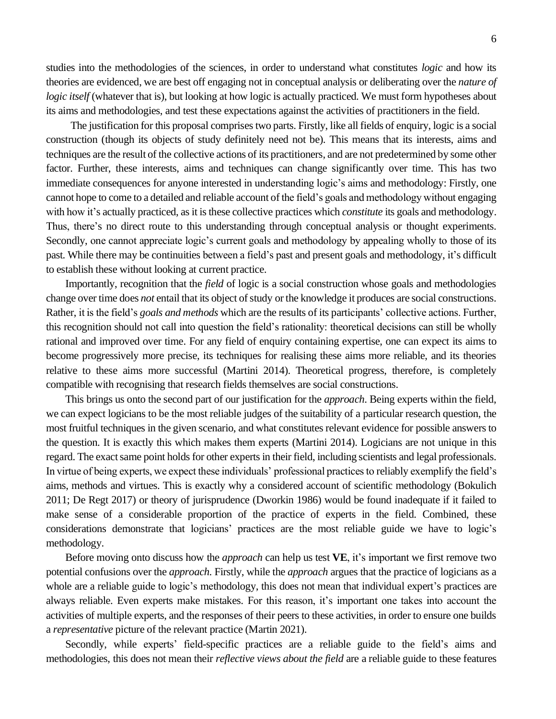studies into the methodologies of the sciences, in order to understand what constitutes *logic* and how its theories are evidenced, we are best off engaging not in conceptual analysis or deliberating over the *nature of logic itself* (whatever that is), but looking at how logic is actually practiced. We must form hypotheses about

The justification for this proposal comprises two parts. Firstly, like all fields of enquiry, logic is a social construction (though its objects of study definitely need not be). This means that its interests, aims and techniques are the result of the collective actions of its practitioners, and are not predetermined by some other factor. Further, these interests, aims and techniques can change significantly over time. This has two immediate consequences for anyone interested in understanding logic's aims and methodology: Firstly, one cannot hope to come to a detailed and reliable account of the field's goals and methodology without engaging with how it's actually practiced, as it is these collective practices which *constitute* its goals and methodology. Thus, there's no direct route to this understanding through conceptual analysis or thought experiments. Secondly, one cannot appreciate logic's current goals and methodology by appealing wholly to those of its past. While there may be continuities between a field's past and present goals and methodology, it's difficult to establish these without looking at current practice.

its aims and methodologies, and test these expectations against the activities of practitioners in the field.

Importantly, recognition that the *field* of logic is a social construction whose goals and methodologies change over time does *not* entail that its object of study or the knowledge it produces are social constructions. Rather, it is the field's *goals and methods* which are the results of its participants' collective actions. Further, this recognition should not call into question the field's rationality: theoretical decisions can still be wholly rational and improved over time. For any field of enquiry containing expertise, one can expect its aims to become progressively more precise, its techniques for realising these aims more reliable, and its theories relative to these aims more successful (Martini 2014). Theoretical progress, therefore, is completely compatible with recognising that research fields themselves are social constructions.

This brings us onto the second part of our justification for the *approach*. Being experts within the field, we can expect logicians to be the most reliable judges of the suitability of a particular research question, the most fruitful techniques in the given scenario, and what constitutes relevant evidence for possible answers to the question. It is exactly this which makes them experts (Martini 2014). Logicians are not unique in this regard. The exact same point holds for other experts in their field, including scientists and legal professionals. In virtue of being experts, we expect these individuals' professional practices to reliably exemplify the field's aims, methods and virtues. This is exactly why a considered account of scientific methodology (Bokulich 2011; De Regt 2017) or theory of jurisprudence (Dworkin 1986) would be found inadequate if it failed to make sense of a considerable proportion of the practice of experts in the field. Combined, these considerations demonstrate that logicians' practices are the most reliable guide we have to logic's methodology.

Before moving onto discuss how the *approach* can help us test **VE**, it's important we first remove two potential confusions over the *approach*. Firstly, while the *approach* argues that the practice of logicians as a whole are a reliable guide to logic's methodology, this does not mean that individual expert's practices are always reliable. Even experts make mistakes. For this reason, it's important one takes into account the activities of multiple experts, and the responses of their peers to these activities, in order to ensure one builds a *representative* picture of the relevant practice (Martin 2021).

Secondly, while experts' field-specific practices are a reliable guide to the field's aims and methodologies, this does not mean their *reflective views about the field* are a reliable guide to these features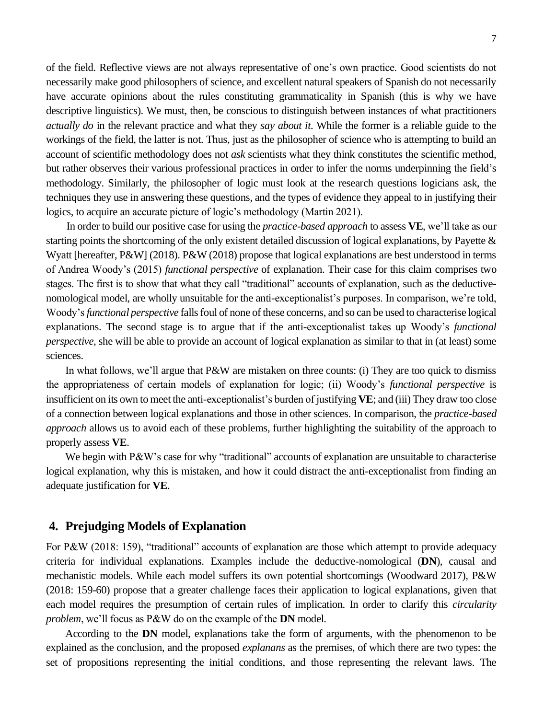of the field. Reflective views are not always representative of one's own practice. Good scientists do not necessarily make good philosophers of science, and excellent natural speakers of Spanish do not necessarily have accurate opinions about the rules constituting grammaticality in Spanish (this is why we have descriptive linguistics). We must, then, be conscious to distinguish between instances of what practitioners *actually do* in the relevant practice and what they *say about it*. While the former is a reliable guide to the workings of the field, the latter is not. Thus, just as the philosopher of science who is attempting to build an account of scientific methodology does not *ask* scientists what they think constitutes the scientific method, but rather observes their various professional practices in order to infer the norms underpinning the field's methodology. Similarly, the philosopher of logic must look at the research questions logicians ask, the techniques they use in answering these questions, and the types of evidence they appeal to in justifying their logics, to acquire an accurate picture of logic's methodology (Martin 2021).

In order to build our positive case for using the *practice-based approach* to assess **VE**, we'll take as our starting points the shortcoming of the only existent detailed discussion of logical explanations, by Payette & Wyatt [hereafter, P&W] (2018). P&W (2018) propose that logical explanations are best understood in terms of Andrea Woody's (2015) *functional perspective* of explanation. Their case for this claim comprises two stages. The first is to show that what they call "traditional" accounts of explanation, such as the deductivenomological model, are wholly unsuitable for the anti-exceptionalist's purposes. In comparison, we're told, Woody's *functional perspective* falls foul of none of these concerns, and so can be used to characterise logical explanations. The second stage is to argue that if the anti-exceptionalist takes up Woody's *functional perspective*, she will be able to provide an account of logical explanation as similar to that in (at least) some sciences.

In what follows, we'll argue that P&W are mistaken on three counts: (i) They are too quick to dismiss the appropriateness of certain models of explanation for logic; (ii) Woody's *functional perspective* is insufficient on its own to meet the anti-exceptionalist's burden of justifying **VE**; and (iii) They draw too close of a connection between logical explanations and those in other sciences. In comparison, the *practice-based approach* allows us to avoid each of these problems, further highlighting the suitability of the approach to properly assess **VE**.

We begin with P&W's case for why "traditional" accounts of explanation are unsuitable to characterise logical explanation, why this is mistaken, and how it could distract the anti-exceptionalist from finding an adequate justification for **VE**.

## **4. Prejudging Models of Explanation**

For P&W (2018: 159), "traditional" accounts of explanation are those which attempt to provide adequacy criteria for individual explanations. Examples include the deductive-nomological (**DN**), causal and mechanistic models. While each model suffers its own potential shortcomings (Woodward 2017), P&W (2018: 159-60) propose that a greater challenge faces their application to logical explanations, given that each model requires the presumption of certain rules of implication. In order to clarify this *circularity problem*, we'll focus as P&W do on the example of the **DN** model.

According to the **DN** model, explanations take the form of arguments, with the phenomenon to be explained as the conclusion, and the proposed *explanans* as the premises, of which there are two types: the set of propositions representing the initial conditions, and those representing the relevant laws. The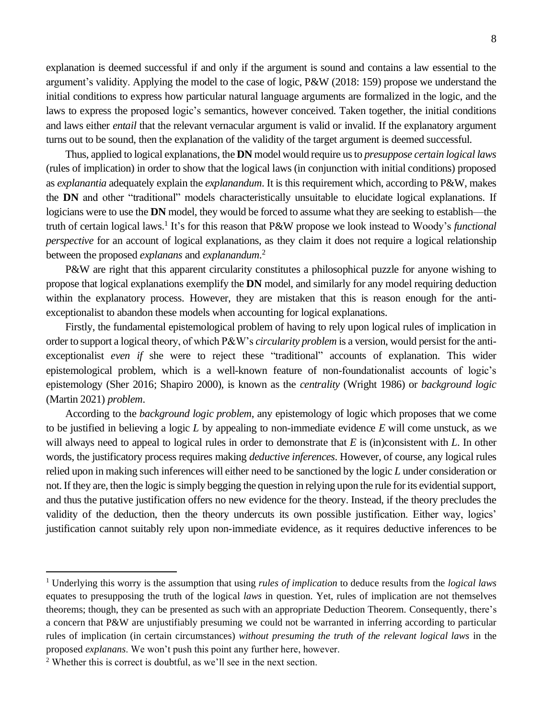explanation is deemed successful if and only if the argument is sound and contains a law essential to the argument's validity. Applying the model to the case of logic, P&W (2018: 159) propose we understand the initial conditions to express how particular natural language arguments are formalized in the logic, and the laws to express the proposed logic's semantics, however conceived. Taken together, the initial conditions and laws either *entail* that the relevant vernacular argument is valid or invalid. If the explanatory argument turns out to be sound, then the explanation of the validity of the target argument is deemed successful.

Thus, applied to logical explanations, the **DN** model would require us to *presuppose certain logical laws* (rules of implication) in order to show that the logical laws (in conjunction with initial conditions) proposed as *explanantia* adequately explain the *explanandum*. It is this requirement which, according to P&W, makes the **DN** and other "traditional" models characteristically unsuitable to elucidate logical explanations. If logicians were to use the **DN** model, they would be forced to assume what they are seeking to establish—the truth of certain logical laws.<sup>1</sup> It's for this reason that P&W propose we look instead to Woody's *functional perspective* for an account of logical explanations, as they claim it does not require a logical relationship between the proposed *explanans* and *explanandum*. 2

P&W are right that this apparent circularity constitutes a philosophical puzzle for anyone wishing to propose that logical explanations exemplify the **DN** model, and similarly for any model requiring deduction within the explanatory process. However, they are mistaken that this is reason enough for the antiexceptionalist to abandon these models when accounting for logical explanations.

Firstly, the fundamental epistemological problem of having to rely upon logical rules of implication in order to support a logical theory, of which P&W's *circularity problem* is a version, would persist for the antiexceptionalist *even if* she were to reject these "traditional" accounts of explanation. This wider epistemological problem, which is a well-known feature of non-foundationalist accounts of logic's epistemology (Sher 2016; Shapiro 2000), is known as the *centrality* (Wright 1986) or *background logic*  (Martin 2021) *problem*.

According to the *background logic problem*, any epistemology of logic which proposes that we come to be justified in believing a logic *L* by appealing to non-immediate evidence *E* will come unstuck, as we will always need to appeal to logical rules in order to demonstrate that *E* is (in)consistent with *L*. In other words, the justificatory process requires making *deductive inferences*. However, of course, any logical rules relied upon in making such inferences will either need to be sanctioned by the logic *L* under consideration or not. If they are, then the logic is simply begging the question in relying upon the rule for its evidential support, and thus the putative justification offers no new evidence for the theory. Instead, if the theory precludes the validity of the deduction, then the theory undercuts its own possible justification. Either way, logics' justification cannot suitably rely upon non-immediate evidence, as it requires deductive inferences to be

<sup>1</sup> Underlying this worry is the assumption that using *rules of implication* to deduce results from the *logical laws* equates to presupposing the truth of the logical *laws* in question. Yet, rules of implication are not themselves theorems; though, they can be presented as such with an appropriate Deduction Theorem. Consequently, there's a concern that P&W are unjustifiably presuming we could not be warranted in inferring according to particular rules of implication (in certain circumstances) *without presuming the truth of the relevant logical laws* in the proposed *explanans*. We won't push this point any further here, however.

<sup>2</sup> Whether this is correct is doubtful, as we'll see in the next section.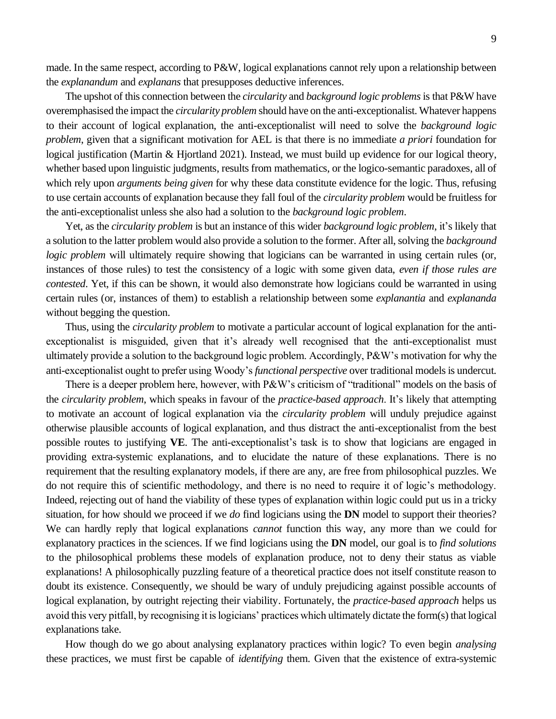made. In the same respect, according to P&W, logical explanations cannot rely upon a relationship between the *explanandum* and *explanans* that presupposes deductive inferences.

The upshot of this connection between the *circularity* and *background logic problems*is that P&W have overemphasised the impact the *circularity problem* should have on the anti-exceptionalist. Whatever happens to their account of logical explanation, the anti-exceptionalist will need to solve the *background logic problem*, given that a significant motivation for AEL is that there is no immediate *a priori* foundation for logical justification (Martin & Hjortland 2021). Instead, we must build up evidence for our logical theory, whether based upon linguistic judgments, results from mathematics, or the logico-semantic paradoxes, all of which rely upon *arguments being given* for why these data constitute evidence for the logic. Thus, refusing to use certain accounts of explanation because they fall foul of the *circularity problem* would be fruitless for the anti-exceptionalist unless she also had a solution to the *background logic problem*.

Yet, as the *circularity problem* is but an instance of this wider *background logic problem*, it's likely that a solution to the latter problem would also provide a solution to the former. After all, solving the *background logic problem* will ultimately require showing that logicians can be warranted in using certain rules (or, instances of those rules) to test the consistency of a logic with some given data, *even if those rules are contested*. Yet, if this can be shown, it would also demonstrate how logicians could be warranted in using certain rules (or, instances of them) to establish a relationship between some *explanantia* and *explananda* without begging the question.

Thus, using the *circularity problem* to motivate a particular account of logical explanation for the antiexceptionalist is misguided, given that it's already well recognised that the anti-exceptionalist must ultimately provide a solution to the background logic problem. Accordingly, P&W's motivation for why the anti-exceptionalist ought to prefer using Woody's *functional perspective* over traditional models is undercut.

There is a deeper problem here, however, with P&W's criticism of "traditional" models on the basis of the *circularity problem*, which speaks in favour of the *practice-based approach*. It's likely that attempting to motivate an account of logical explanation via the *circularity problem* will unduly prejudice against otherwise plausible accounts of logical explanation, and thus distract the anti-exceptionalist from the best possible routes to justifying **VE**. The anti-exceptionalist's task is to show that logicians are engaged in providing extra-systemic explanations, and to elucidate the nature of these explanations. There is no requirement that the resulting explanatory models, if there are any, are free from philosophical puzzles. We do not require this of scientific methodology, and there is no need to require it of logic's methodology. Indeed, rejecting out of hand the viability of these types of explanation within logic could put us in a tricky situation, for how should we proceed if we *do* find logicians using the **DN** model to support their theories? We can hardly reply that logical explanations *cannot* function this way, any more than we could for explanatory practices in the sciences. If we find logicians using the **DN** model, our goal is to *find solutions* to the philosophical problems these models of explanation produce, not to deny their status as viable explanations! A philosophically puzzling feature of a theoretical practice does not itself constitute reason to doubt its existence. Consequently, we should be wary of unduly prejudicing against possible accounts of logical explanation, by outright rejecting their viability. Fortunately, the *practice-based approach* helps us avoid this very pitfall, by recognising it is logicians' practices which ultimately dictate the form(s) that logical explanations take.

How though do we go about analysing explanatory practices within logic? To even begin *analysing* these practices, we must first be capable of *identifying* them. Given that the existence of extra-systemic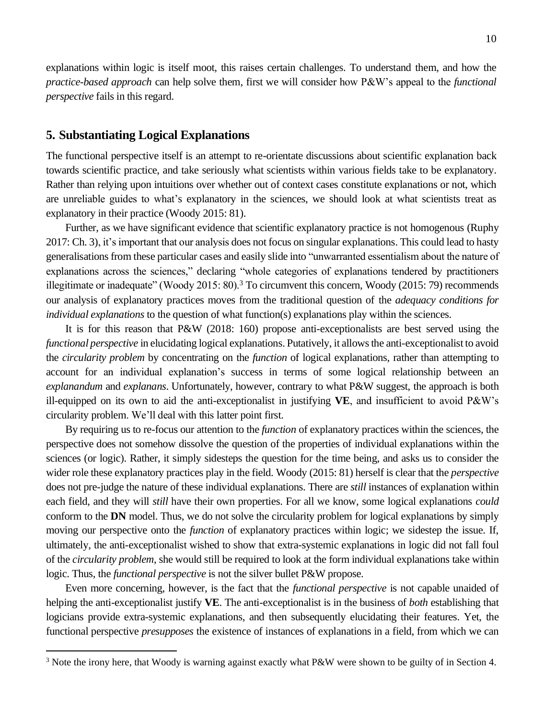explanations within logic is itself moot, this raises certain challenges. To understand them, and how the *practice-based approach* can help solve them, first we will consider how P&W's appeal to the *functional perspective* fails in this regard.

#### **5. Substantiating Logical Explanations**

The functional perspective itself is an attempt to re-orientate discussions about scientific explanation back towards scientific practice, and take seriously what scientists within various fields take to be explanatory. Rather than relying upon intuitions over whether out of context cases constitute explanations or not, which are unreliable guides to what's explanatory in the sciences, we should look at what scientists treat as explanatory in their practice (Woody 2015: 81).

Further, as we have significant evidence that scientific explanatory practice is not homogenous (Ruphy 2017: Ch. 3), it's important that our analysis does not focus on singular explanations. This could lead to hasty generalisations from these particular cases and easily slide into "unwarranted essentialism about the nature of explanations across the sciences," declaring "whole categories of explanations tendered by practitioners illegitimate or inadequate" (Woody 2015: 80).<sup>3</sup> To circumvent this concern, Woody (2015: 79) recommends our analysis of explanatory practices moves from the traditional question of the *adequacy conditions for individual explanations* to the question of what function(s) explanations play within the sciences.

It is for this reason that P&W (2018: 160) propose anti-exceptionalists are best served using the *functional perspective* in elucidating logical explanations. Putatively, it allows the anti-exceptionalist to avoid the *circularity problem* by concentrating on the *function* of logical explanations, rather than attempting to account for an individual explanation's success in terms of some logical relationship between an *explanandum* and *explanans*. Unfortunately, however, contrary to what P&W suggest, the approach is both ill-equipped on its own to aid the anti-exceptionalist in justifying **VE**, and insufficient to avoid P&W's circularity problem. We'll deal with this latter point first.

By requiring us to re-focus our attention to the *function* of explanatory practices within the sciences, the perspective does not somehow dissolve the question of the properties of individual explanations within the sciences (or logic). Rather, it simply sidesteps the question for the time being, and asks us to consider the wider role these explanatory practices play in the field. Woody (2015: 81) herself is clear that the *perspective*  does not pre-judge the nature of these individual explanations. There are *still* instances of explanation within each field, and they will *still* have their own properties. For all we know, some logical explanations *could*  conform to the **DN** model. Thus, we do not solve the circularity problem for logical explanations by simply moving our perspective onto the *function* of explanatory practices within logic; we sidestep the issue. If, ultimately, the anti-exceptionalist wished to show that extra-systemic explanations in logic did not fall foul of the *circularity problem*, she would still be required to look at the form individual explanations take within logic. Thus, the *functional perspective* is not the silver bullet P&W propose.

Even more concerning, however, is the fact that the *functional perspective* is not capable unaided of helping the anti-exceptionalist justify **VE**. The anti-exceptionalist is in the business of *both* establishing that logicians provide extra-systemic explanations, and then subsequently elucidating their features. Yet, the functional perspective *presupposes* the existence of instances of explanations in a field, from which we can

<sup>&</sup>lt;sup>3</sup> Note the irony here, that Woody is warning against exactly what P&W were shown to be guilty of in Section 4.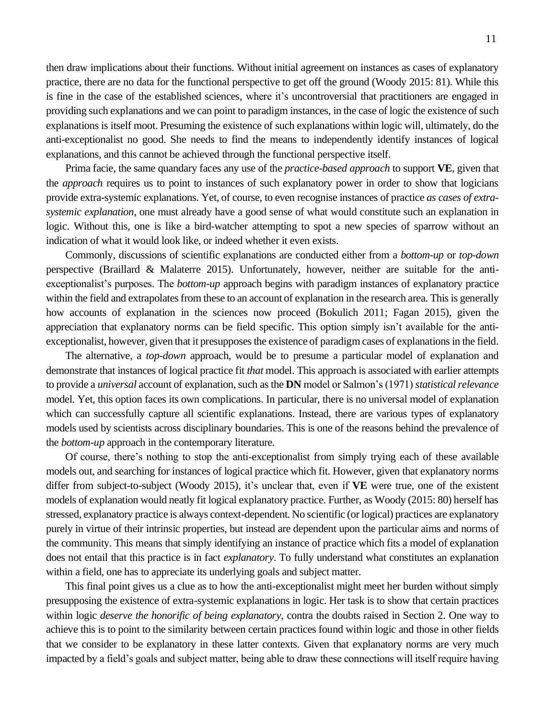then draw implications about their functions. Without initial agreement on instances as cases of explanatory practice, there are no data for the functional perspective to get off the ground (Woody 2015: 81). While this is fine in the case of the established sciences, where it's uncontroversial that practitioners are engaged in providing such explanations and we can point to paradigm instances, in the case of logic the existence of such explanations is itself moot. Presuming the existence of such explanations within logic will, ultimately, do the anti-exceptionalist no good. She needs to find the means to independently identify instances of logical explanations, and this cannot be achieved through the functional perspective itself.

Prima facie, the same quandary faces any use of the *practice-based approach* to support **VE**, given that the *approach* requires us to point to instances of such explanatory power in order to show that logicians provide extra-systemic explanations. Yet, of course, to even recognise instances of practice *as cases of extrasystemic explanation*, one must already have a good sense of what would constitute such an explanation in logic. Without this, one is like a bird-watcher attempting to spot a new species of sparrow without an indication of what it would look like, or indeed whether it even exists.

Commonly, discussions of scientific explanations are conducted either from a *bottom-up* or *top-down*  perspective (Braillard & Malaterre 2015). Unfortunately, however, neither are suitable for the antiexceptionalist's purposes. The *bottom-up* approach begins with paradigm instances of explanatory practice within the field and extrapolates from these to an account of explanation in the research area. This is generally how accounts of explanation in the sciences now proceed (Bokulich 2011; Fagan 2015), given the appreciation that explanatory norms can be field specific. This option simply isn't available for the antiexceptionalist, however, given that it presupposes the existence of paradigm cases of explanations in the field.

The alternative, a *top-down* approach, would be to presume a particular model of explanation and demonstrate that instances of logical practice fit *that* model. This approach is associated with earlier attempts to provide a *universal* account of explanation, such as the **DN** model or Salmon's (1971) *statistical relevance*  model. Yet, this option faces its own complications. In particular, there is no universal model of explanation which can successfully capture all scientific explanations. Instead, there are various types of explanatory models used by scientists across disciplinary boundaries. This is one of the reasons behind the prevalence of the *bottom-up* approach in the contemporary literature.

Of course, there's nothing to stop the anti-exceptionalist from simply trying each of these available models out, and searching for instances of logical practice which fit. However, given that explanatory norms differ from subject-to-subject (Woody 2015), it's unclear that, even if **VE** were true, one of the existent models of explanation would neatly fit logical explanatory practice. Further, as Woody (2015: 80) herself has stressed, explanatory practice is always context-dependent. No scientific (or logical) practices are explanatory purely in virtue of their intrinsic properties, but instead are dependent upon the particular aims and norms of the community. This means that simply identifying an instance of practice which fits a model of explanation does not entail that this practice is in fact *explanatory*. To fully understand what constitutes an explanation within a field, one has to appreciate its underlying goals and subject matter.

This final point gives us a clue as to how the anti-exceptionalist might meet her burden without simply presupposing the existence of extra-systemic explanations in logic. Her task is to show that certain practices within logic *deserve the honorific of being explanatory*, contra the doubts raised in Section 2. One way to achieve this is to point to the similarity between certain practices found within logic and those in other fields that we consider to be explanatory in these latter contexts. Given that explanatory norms are very much impacted by a field's goals and subject matter, being able to draw these connections will itself require having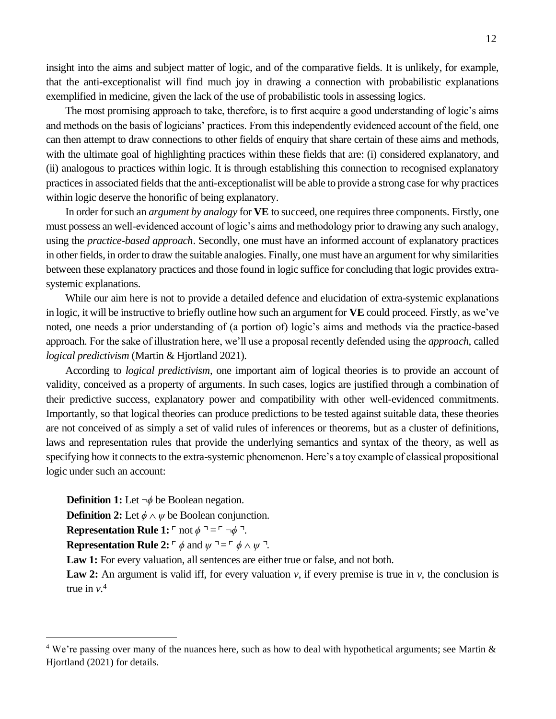insight into the aims and subject matter of logic, and of the comparative fields. It is unlikely, for example, that the anti-exceptionalist will find much joy in drawing a connection with probabilistic explanations exemplified in medicine, given the lack of the use of probabilistic tools in assessing logics.

The most promising approach to take, therefore, is to first acquire a good understanding of logic's aims and methods on the basis of logicians' practices. From this independently evidenced account of the field, one can then attempt to draw connections to other fields of enquiry that share certain of these aims and methods, with the ultimate goal of highlighting practices within these fields that are: (i) considered explanatory, and (ii) analogous to practices within logic. It is through establishing this connection to recognised explanatory practices in associated fields that the anti-exceptionalist will be able to provide a strong case for why practices within logic deserve the honorific of being explanatory.

In order for such an *argument by analogy* for **VE** to succeed, one requires three components. Firstly, one must possess an well-evidenced account of logic's aims and methodology prior to drawing any such analogy, using the *practice-based approach*. Secondly, one must have an informed account of explanatory practices in other fields, in order to draw the suitable analogies. Finally, one must have an argument for why similarities between these explanatory practices and those found in logic suffice for concluding that logic provides extrasystemic explanations.

While our aim here is not to provide a detailed defence and elucidation of extra-systemic explanations in logic, it will be instructive to briefly outline how such an argument for **VE** could proceed. Firstly, as we've noted, one needs a prior understanding of (a portion of) logic's aims and methods via the practice-based approach. For the sake of illustration here, we'll use a proposal recently defended using the *approach*, called *logical predictivism* (Martin & Hjortland 2021).

According to *logical predictivism*, one important aim of logical theories is to provide an account of validity, conceived as a property of arguments. In such cases, logics are justified through a combination of their predictive success, explanatory power and compatibility with other well-evidenced commitments. Importantly, so that logical theories can produce predictions to be tested against suitable data, these theories are not conceived of as simply a set of valid rules of inferences or theorems, but as a cluster of definitions, laws and representation rules that provide the underlying semantics and syntax of the theory, as well as specifying how it connects to the extra-systemic phenomenon. Here's a toy example of classical propositional logic under such an account:

**Definition 1:** Let  $\neg \phi$  be Boolean negation. **Definition 2:** Let  $\phi \land \psi$  be Boolean conjunction. **Representation Rule 1:**  $\Gamma$  not  $\phi \Gamma = \Box \phi \Gamma$ . **Representation Rule 2:**  $\ulcorner \phi$  and  $\psi \urcorner = \ulcorner \phi \wedge \psi \urcorner$ .

**Law 1:** For every valuation, all sentences are either true or false, and not both.

**Law 2:** An argument is valid iff, for every valuation  $\nu$ , if every premise is true in  $\nu$ , the conclusion is true in *v*. 4

 $4$  We're passing over many of the nuances here, such as how to deal with hypothetical arguments; see Martin  $\&$ Hjortland (2021) for details.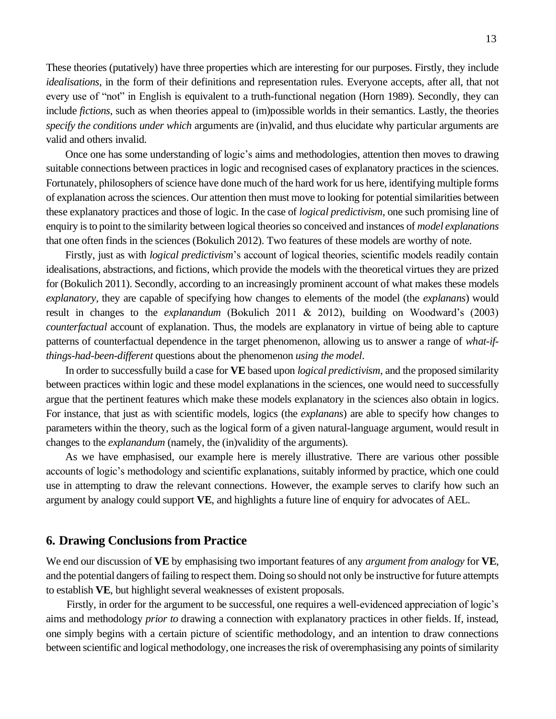These theories (putatively) have three properties which are interesting for our purposes. Firstly, they include *idealisations*, in the form of their definitions and representation rules. Everyone accepts, after all, that not every use of "not" in English is equivalent to a truth-functional negation (Horn 1989). Secondly, they can include *fictions*, such as when theories appeal to (im)possible worlds in their semantics. Lastly, the theories *specify the conditions under which* arguments are (in)valid, and thus elucidate why particular arguments are valid and others invalid.

Once one has some understanding of logic's aims and methodologies, attention then moves to drawing suitable connections between practices in logic and recognised cases of explanatory practices in the sciences. Fortunately, philosophers of science have done much of the hard work for us here, identifying multiple forms of explanation across the sciences. Our attention then must move to looking for potential similarities between these explanatory practices and those of logic. In the case of *logical predictivism*, one such promising line of enquiry is to point to the similarity between logical theories so conceived and instances of *model explanations* that one often finds in the sciences (Bokulich 2012). Two features of these models are worthy of note.

Firstly, just as with *logical predictivism*'s account of logical theories, scientific models readily contain idealisations, abstractions, and fictions, which provide the models with the theoretical virtues they are prized for (Bokulich 2011). Secondly, according to an increasingly prominent account of what makes these models *explanatory*, they are capable of specifying how changes to elements of the model (the *explanans*) would result in changes to the *explanandum* (Bokulich 2011 & 2012), building on Woodward's (2003) *counterfactual* account of explanation. Thus, the models are explanatory in virtue of being able to capture patterns of counterfactual dependence in the target phenomenon, allowing us to answer a range of *what-ifthings-had-been-different* questions about the phenomenon *using the model*.

In order to successfully build a case for **VE** based upon *logical predictivism*, and the proposed similarity between practices within logic and these model explanations in the sciences, one would need to successfully argue that the pertinent features which make these models explanatory in the sciences also obtain in logics. For instance, that just as with scientific models, logics (the *explanans*) are able to specify how changes to parameters within the theory, such as the logical form of a given natural-language argument, would result in changes to the *explanandum* (namely, the (in)validity of the arguments).

As we have emphasised, our example here is merely illustrative. There are various other possible accounts of logic's methodology and scientific explanations, suitably informed by practice, which one could use in attempting to draw the relevant connections. However, the example serves to clarify how such an argument by analogy could support **VE**, and highlights a future line of enquiry for advocates of AEL.

#### **6. Drawing Conclusions from Practice**

We end our discussion of **VE** by emphasising two important features of any *argument from analogy* for **VE**, and the potential dangers of failing to respect them. Doing so should not only be instructive for future attempts to establish **VE**, but highlight several weaknesses of existent proposals.

Firstly, in order for the argument to be successful, one requires a well-evidenced appreciation of logic's aims and methodology *prior to* drawing a connection with explanatory practices in other fields. If, instead, one simply begins with a certain picture of scientific methodology, and an intention to draw connections between scientific and logical methodology, one increases the risk of overemphasising any points of similarity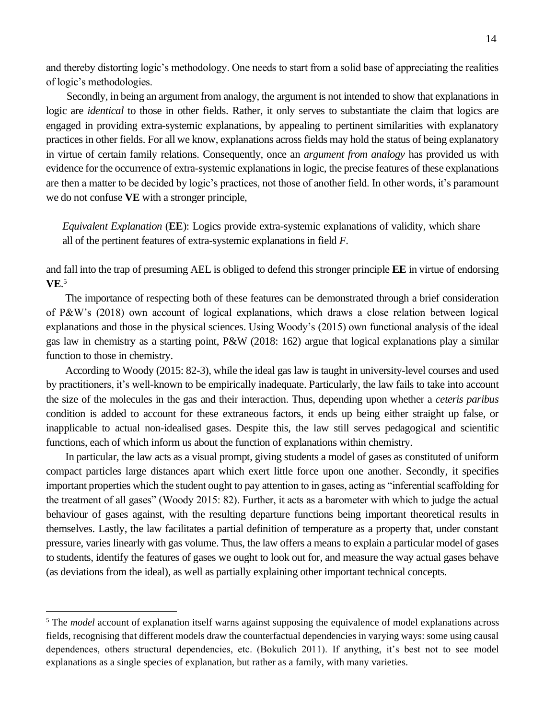and thereby distorting logic's methodology. One needs to start from a solid base of appreciating the realities of logic's methodologies.

Secondly, in being an argument from analogy, the argument is not intended to show that explanations in logic are *identical* to those in other fields. Rather, it only serves to substantiate the claim that logics are engaged in providing extra-systemic explanations, by appealing to pertinent similarities with explanatory practices in other fields. For all we know, explanations across fields may hold the status of being explanatory in virtue of certain family relations. Consequently, once an *argument from analogy* has provided us with evidence for the occurrence of extra-systemic explanations in logic, the precise features of these explanations are then a matter to be decided by logic's practices, not those of another field. In other words, it's paramount we do not confuse **VE** with a stronger principle,

*Equivalent Explanation* (**EE**): Logics provide extra-systemic explanations of validity, which share all of the pertinent features of extra-systemic explanations in field *F*.

and fall into the trap of presuming AEL is obliged to defend this stronger principle **EE** in virtue of endorsing **VE**. 5

The importance of respecting both of these features can be demonstrated through a brief consideration of P&W's (2018) own account of logical explanations, which draws a close relation between logical explanations and those in the physical sciences. Using Woody's (2015) own functional analysis of the ideal gas law in chemistry as a starting point, P&W (2018: 162) argue that logical explanations play a similar function to those in chemistry.

According to Woody (2015: 82-3), while the ideal gas law is taught in university-level courses and used by practitioners, it's well-known to be empirically inadequate. Particularly, the law fails to take into account the size of the molecules in the gas and their interaction. Thus, depending upon whether a *ceteris paribus* condition is added to account for these extraneous factors, it ends up being either straight up false, or inapplicable to actual non-idealised gases. Despite this, the law still serves pedagogical and scientific functions, each of which inform us about the function of explanations within chemistry.

In particular, the law acts as a visual prompt, giving students a model of gases as constituted of uniform compact particles large distances apart which exert little force upon one another. Secondly, it specifies important properties which the student ought to pay attention to in gases, acting as "inferential scaffolding for the treatment of all gases" (Woody 2015: 82). Further, it acts as a barometer with which to judge the actual behaviour of gases against, with the resulting departure functions being important theoretical results in themselves. Lastly, the law facilitates a partial definition of temperature as a property that, under constant pressure, varies linearly with gas volume. Thus, the law offers a means to explain a particular model of gases to students, identify the features of gases we ought to look out for, and measure the way actual gases behave (as deviations from the ideal), as well as partially explaining other important technical concepts.

<sup>&</sup>lt;sup>5</sup> The *model* account of explanation itself warns against supposing the equivalence of model explanations across fields, recognising that different models draw the counterfactual dependencies in varying ways: some using causal dependences, others structural dependencies, etc. (Bokulich 2011). If anything, it's best not to see model explanations as a single species of explanation, but rather as a family, with many varieties.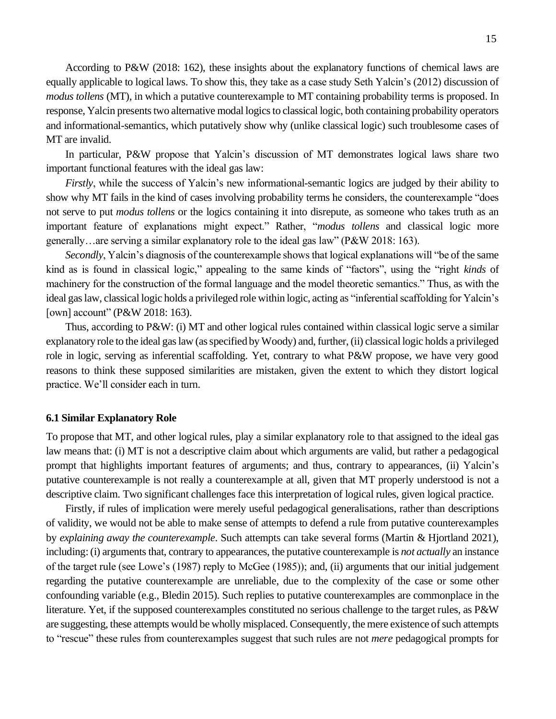According to P&W (2018: 162), these insights about the explanatory functions of chemical laws are equally applicable to logical laws. To show this, they take as a case study Seth Yalcin's (2012) discussion of *modus tollens* (MT), in which a putative counterexample to MT containing probability terms is proposed. In response, Yalcin presents two alternative modal logics to classical logic, both containing probability operators and informational-semantics, which putatively show why (unlike classical logic) such troublesome cases of MT are invalid.

In particular, P&W propose that Yalcin's discussion of MT demonstrates logical laws share two important functional features with the ideal gas law:

*Firstly*, while the success of Yalcin's new informational-semantic logics are judged by their ability to show why MT fails in the kind of cases involving probability terms he considers, the counterexample "does not serve to put *modus tollens* or the logics containing it into disrepute, as someone who takes truth as an important feature of explanations might expect." Rather, "*modus tollens* and classical logic more generally…are serving a similar explanatory role to the ideal gas law" (P&W 2018: 163).

*Secondly*, Yalcin's diagnosis of the counterexample shows that logical explanations will "be of the same kind as is found in classical logic," appealing to the same kinds of "factors", using the "right *kinds* of machinery for the construction of the formal language and the model theoretic semantics." Thus, as with the ideal gas law, classical logic holds a privileged role within logic, acting as "inferential scaffolding for Yalcin's [own] account" (P&W 2018: 163).

Thus, according to P&W: (i) MT and other logical rules contained within classical logic serve a similar explanatory role to the ideal gas law (as specified by Woody) and, further, (ii) classical logic holds a privileged role in logic, serving as inferential scaffolding. Yet, contrary to what P&W propose, we have very good reasons to think these supposed similarities are mistaken, given the extent to which they distort logical practice. We'll consider each in turn.

#### **6.1 Similar Explanatory Role**

To propose that MT, and other logical rules, play a similar explanatory role to that assigned to the ideal gas law means that: (i) MT is not a descriptive claim about which arguments are valid, but rather a pedagogical prompt that highlights important features of arguments; and thus, contrary to appearances, (ii) Yalcin's putative counterexample is not really a counterexample at all, given that MT properly understood is not a descriptive claim. Two significant challenges face this interpretation of logical rules, given logical practice.

Firstly, if rules of implication were merely useful pedagogical generalisations, rather than descriptions of validity, we would not be able to make sense of attempts to defend a rule from putative counterexamples by *explaining away the counterexample*. Such attempts can take several forms (Martin & Hjortland 2021), including: (i) arguments that, contrary to appearances, the putative counterexample is *not actually* an instance of the target rule (see Lowe's (1987) reply to McGee (1985)); and, (ii) arguments that our initial judgement regarding the putative counterexample are unreliable, due to the complexity of the case or some other confounding variable (e.g., Bledin 2015). Such replies to putative counterexamples are commonplace in the literature. Yet, if the supposed counterexamples constituted no serious challenge to the target rules, as P&W are suggesting, these attempts would be wholly misplaced. Consequently, the mere existence of such attempts to "rescue" these rules from counterexamples suggest that such rules are not *mere* pedagogical prompts for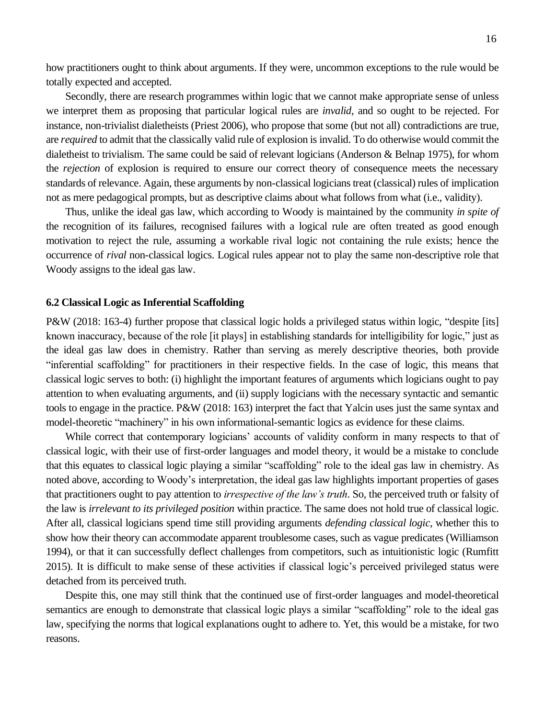how practitioners ought to think about arguments. If they were, uncommon exceptions to the rule would be totally expected and accepted.

Secondly, there are research programmes within logic that we cannot make appropriate sense of unless we interpret them as proposing that particular logical rules are *invalid*, and so ought to be rejected. For instance, non-trivialist dialetheists (Priest 2006), who propose that some (but not all) contradictions are true, are *required* to admit that the classically valid rule of explosion is invalid. To do otherwise would commit the dialetheist to trivialism. The same could be said of relevant logicians (Anderson & Belnap 1975), for whom the *rejection* of explosion is required to ensure our correct theory of consequence meets the necessary standards of relevance. Again, these arguments by non-classical logicians treat (classical) rules of implication not as mere pedagogical prompts, but as descriptive claims about what follows from what (i.e., validity).

Thus, unlike the ideal gas law, which according to Woody is maintained by the community *in spite of* the recognition of its failures, recognised failures with a logical rule are often treated as good enough motivation to reject the rule, assuming a workable rival logic not containing the rule exists; hence the occurrence of *rival* non-classical logics. Logical rules appear not to play the same non-descriptive role that Woody assigns to the ideal gas law.

#### **6.2 Classical Logic as Inferential Scaffolding**

P&W (2018: 163-4) further propose that classical logic holds a privileged status within logic, "despite [its] known inaccuracy, because of the role [it plays] in establishing standards for intelligibility for logic," just as the ideal gas law does in chemistry. Rather than serving as merely descriptive theories, both provide "inferential scaffolding" for practitioners in their respective fields. In the case of logic, this means that classical logic serves to both: (i) highlight the important features of arguments which logicians ought to pay attention to when evaluating arguments, and (ii) supply logicians with the necessary syntactic and semantic tools to engage in the practice. P&W (2018: 163) interpret the fact that Yalcin uses just the same syntax and model-theoretic "machinery" in his own informational-semantic logics as evidence for these claims.

While correct that contemporary logicians' accounts of validity conform in many respects to that of classical logic, with their use of first-order languages and model theory, it would be a mistake to conclude that this equates to classical logic playing a similar "scaffolding" role to the ideal gas law in chemistry. As noted above, according to Woody's interpretation, the ideal gas law highlights important properties of gases that practitioners ought to pay attention to *irrespective of the law's truth*. So, the perceived truth or falsity of the law is *irrelevant to its privileged position* within practice. The same does not hold true of classical logic. After all, classical logicians spend time still providing arguments *defending classical logic*, whether this to show how their theory can accommodate apparent troublesome cases, such as vague predicates (Williamson 1994), or that it can successfully deflect challenges from competitors, such as intuitionistic logic (Rumfitt 2015). It is difficult to make sense of these activities if classical logic's perceived privileged status were detached from its perceived truth.

Despite this, one may still think that the continued use of first-order languages and model-theoretical semantics are enough to demonstrate that classical logic plays a similar "scaffolding" role to the ideal gas law, specifying the norms that logical explanations ought to adhere to. Yet, this would be a mistake, for two reasons.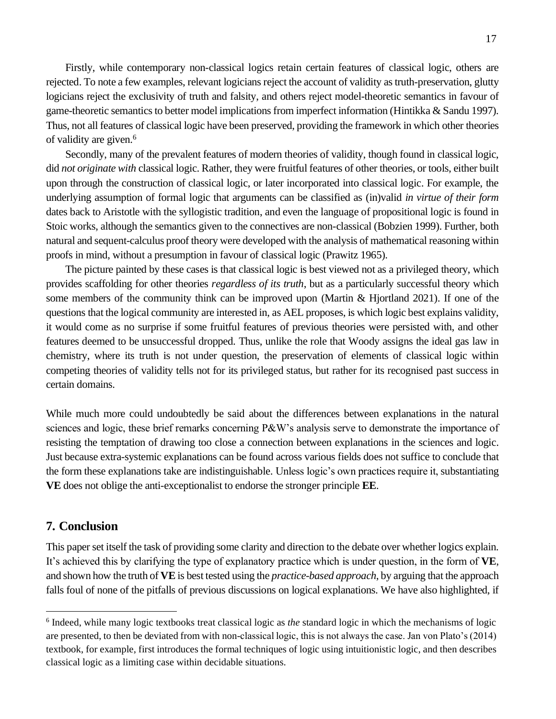Firstly, while contemporary non-classical logics retain certain features of classical logic, others are rejected. To note a few examples, relevant logicians reject the account of validity as truth-preservation, glutty logicians reject the exclusivity of truth and falsity, and others reject model-theoretic semantics in favour of game-theoretic semantics to better model implications from imperfect information (Hintikka & Sandu 1997). Thus, not all features of classical logic have been preserved, providing the framework in which other theories of validity are given.<sup>6</sup>

Secondly, many of the prevalent features of modern theories of validity, though found in classical logic, did *not originate with* classical logic. Rather, they were fruitful features of other theories, or tools, either built upon through the construction of classical logic, or later incorporated into classical logic. For example, the underlying assumption of formal logic that arguments can be classified as (in)valid *in virtue of their form* dates back to Aristotle with the syllogistic tradition, and even the language of propositional logic is found in Stoic works, although the semantics given to the connectives are non-classical (Bobzien 1999). Further, both natural and sequent-calculus proof theory were developed with the analysis of mathematical reasoning within proofs in mind, without a presumption in favour of classical logic (Prawitz 1965).

The picture painted by these cases is that classical logic is best viewed not as a privileged theory, which provides scaffolding for other theories *regardless of its truth*, but as a particularly successful theory which some members of the community think can be improved upon (Martin & Hjortland 2021). If one of the questions that the logical community are interested in, as AEL proposes, is which logic best explains validity, it would come as no surprise if some fruitful features of previous theories were persisted with, and other features deemed to be unsuccessful dropped. Thus, unlike the role that Woody assigns the ideal gas law in chemistry, where its truth is not under question, the preservation of elements of classical logic within competing theories of validity tells not for its privileged status, but rather for its recognised past success in certain domains.

While much more could undoubtedly be said about the differences between explanations in the natural sciences and logic, these brief remarks concerning P&W's analysis serve to demonstrate the importance of resisting the temptation of drawing too close a connection between explanations in the sciences and logic. Just because extra-systemic explanations can be found across various fields does not suffice to conclude that the form these explanations take are indistinguishable. Unless logic's own practices require it, substantiating **VE** does not oblige the anti-exceptionalist to endorse the stronger principle **EE**.

## **7. Conclusion**

This paper set itself the task of providing some clarity and direction to the debate over whether logics explain. It's achieved this by clarifying the type of explanatory practice which is under question, in the form of **VE**, and shown how the truth of **VE**is best tested using the *practice-based approach*, by arguing that the approach falls foul of none of the pitfalls of previous discussions on logical explanations. We have also highlighted, if

<sup>&</sup>lt;sup>6</sup> Indeed, while many logic textbooks treat classical logic as *the* standard logic in which the mechanisms of logic are presented, to then be deviated from with non-classical logic, this is not always the case. Jan von Plato's (2014) textbook, for example, first introduces the formal techniques of logic using intuitionistic logic, and then describes classical logic as a limiting case within decidable situations.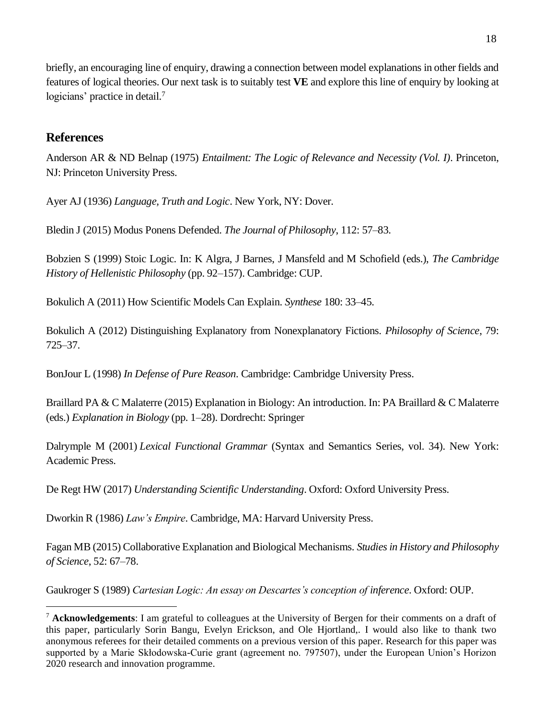briefly, an encouraging line of enquiry, drawing a connection between model explanations in other fields and features of logical theories. Our next task is to suitably test **VE** and explore this line of enquiry by looking at logicians' practice in detail.<sup>7</sup>

## **References**

Anderson AR & ND Belnap (1975) *Entailment: The Logic of Relevance and Necessity (Vol. I)*. Princeton, NJ: Princeton University Press.

Ayer AJ (1936) *Language, Truth and Logic*. New York, NY: Dover.

Bledin J (2015) Modus Ponens Defended. *The Journal of Philosophy*, 112: 57–83.

Bobzien S (1999) Stoic Logic. In: K Algra, J Barnes, J Mansfeld and M Schofield (eds.), *The Cambridge History of Hellenistic Philosophy* (pp. 92–157). Cambridge: CUP.

Bokulich A (2011) How Scientific Models Can Explain. *Synthese* 180: 33–45.

Bokulich A (2012) Distinguishing Explanatory from Nonexplanatory Fictions. *Philosophy of Science*, 79: 725–37.

BonJour L (1998) *In Defense of Pure Reason*. Cambridge: Cambridge University Press.

Braillard PA & C Malaterre (2015) Explanation in Biology: An introduction. In: PA Braillard & C Malaterre (eds.) *Explanation in Biology* (pp. 1–28). Dordrecht: Springer

Dalrymple M (2001) *Lexical Functional Grammar* (Syntax and Semantics Series, vol. 34). New York: Academic Press.

De Regt HW (2017) *Understanding Scientific Understanding*. Oxford: Oxford University Press.

Dworkin R (1986) *Law's Empire*. Cambridge, MA: Harvard University Press.

Fagan MB (2015) Collaborative Explanation and Biological Mechanisms. *Studies in History and Philosophy of Science*, 52: 67–78.

Gaukroger S (1989) *Cartesian Logic: An essay on Descartes's conception of inference*. Oxford: OUP.

<sup>7</sup> **Acknowledgements**: I am grateful to colleagues at the University of Bergen for their comments on a draft of this paper, particularly Sorin Bangu, Evelyn Erickson, and Ole Hjortland,. I would also like to thank two anonymous referees for their detailed comments on a previous version of this paper. Research for this paper was supported by a Marie Skłodowska-Curie grant (agreement no. 797507), under the European Union's Horizon 2020 research and innovation programme.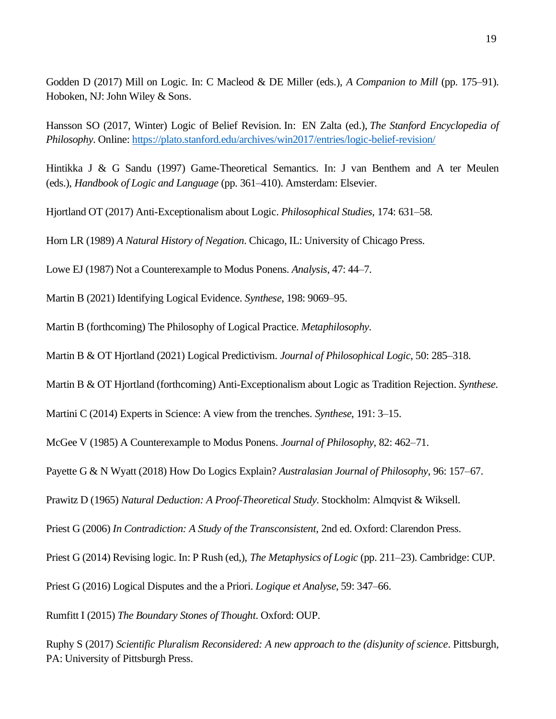Godden D (2017) Mill on Logic. In: C Macleod & DE Miller (eds.), *A Companion to Mill* (pp. 175–91). Hoboken, NJ: John Wiley & Sons.

Hansson SO (2017, Winter) Logic of Belief Revision. In: EN Zalta (ed.), *The Stanford Encyclopedia of Philosophy*. Online[: https://plato.stanford.edu/archives/win2017/entries/logic-belief-revision/](https://plato.stanford.edu/archives/win2017/entries/logic-belief-revision/)

Hintikka J & G Sandu (1997) Game-Theoretical Semantics. In: J van Benthem and A ter Meulen (eds.), *Handbook of Logic and Language* (pp. 361–410). Amsterdam: Elsevier.

Hjortland OT (2017) Anti-Exceptionalism about Logic. *Philosophical Studies*, 174: 631–58.

Horn LR (1989) *A Natural History of Negation*. Chicago, IL: University of Chicago Press.

Lowe EJ (1987) Not a Counterexample to Modus Ponens. *Analysis*, 47: 44–7.

Martin B (2021) Identifying Logical Evidence. *Synthese*, 198: 9069–95.

Martin B (forthcoming) The Philosophy of Logical Practice. *Metaphilosophy*.

Martin B & OT Hjortland (2021) Logical Predictivism. *Journal of Philosophical Logic*, 50: 285–318.

Martin B & OT Hjortland (forthcoming) Anti-Exceptionalism about Logic as Tradition Rejection. *Synthese*.

Martini C (2014) Experts in Science: A view from the trenches. *Synthese*, 191: 3–15.

McGee V (1985) A Counterexample to Modus Ponens. *Journal of Philosophy*, 82: 462–71.

Payette G & N Wyatt (2018) How Do Logics Explain? *Australasian Journal of Philosophy*, 96: 157–67.

Prawitz D (1965) *Natural Deduction: A Proof-Theoretical Study*. Stockholm: Almqvist & Wiksell.

Priest G (2006) *In Contradiction: A Study of the Transconsistent*, 2nd ed. Oxford: Clarendon Press.

Priest G (2014) Revising logic. In: P Rush (ed,), *The Metaphysics of Logic* (pp. 211–23). Cambridge: CUP.

Priest G (2016) Logical Disputes and the a Priori. *Logique et Analyse*, 59: 347–66.

Rumfitt I (2015) *The Boundary Stones of Thought*. Oxford: OUP.

Ruphy S (2017) *Scientific Pluralism Reconsidered: A new approach to the (dis)unity of science*. Pittsburgh, PA: University of Pittsburgh Press.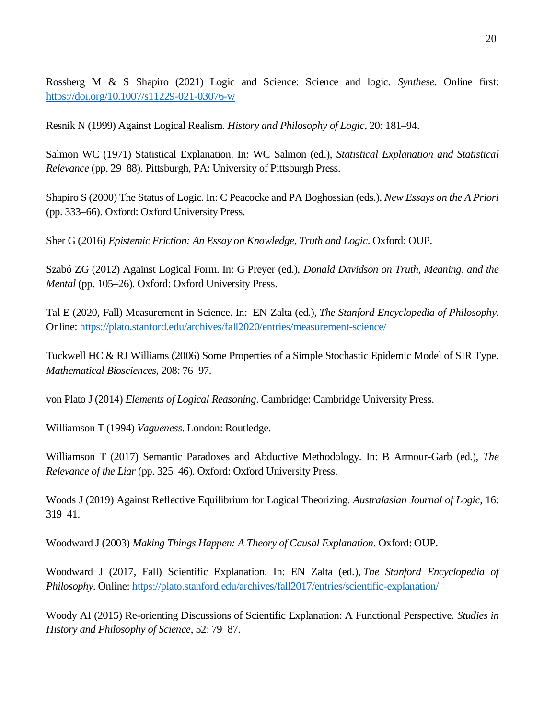Rossberg M & S Shapiro (2021) Logic and Science: Science and logic. *Synthese*. Online first: <https://doi.org/10.1007/s11229-021-03076-w>

Resnik N (1999) Against Logical Realism. *History and Philosophy of Logic*, 20: 181–94.

Salmon WC (1971) Statistical Explanation. In: WC Salmon (ed.), *Statistical Explanation and Statistical Relevance* (pp. 29–88). Pittsburgh, PA: University of Pittsburgh Press.

Shapiro S (2000) The Status of Logic. In: C Peacocke and PA Boghossian (eds.), *New Essays on the A Priori*  (pp. 333–66). Oxford: Oxford University Press.

Sher G (2016) *Epistemic Friction: An Essay on Knowledge, Truth and Logic*. Oxford: OUP.

Szabó ZG (2012) Against Logical Form. In: G Preyer (ed.), *Donald Davidson on Truth, Meaning, and the Mental* (pp. 105–26). Oxford: Oxford University Press.

Tal E (2020, Fall) Measurement in Science. In: EN Zalta (ed.), *The Stanford Encyclopedia of Philosophy*. Online:<https://plato.stanford.edu/archives/fall2020/entries/measurement-science/>

Tuckwell HC & RJ Williams (2006) Some Properties of a Simple Stochastic Epidemic Model of SIR Type. *Mathematical Biosciences*, 208: 76–97.

von Plato J (2014) *Elements of Logical Reasoning*. Cambridge: Cambridge University Press.

Williamson T (1994) *Vagueness*. London: Routledge.

Williamson T (2017) Semantic Paradoxes and Abductive Methodology. In: B Armour-Garb (ed.), *The Relevance of the Liar* (pp. 325–46). Oxford: Oxford University Press.

Woods J (2019) Against Reflective Equilibrium for Logical Theorizing. *Australasian Journal of Logic*, 16: 319–41.

Woodward J (2003) *Making Things Happen: A Theory of Causal Explanation*. Oxford: OUP.

Woodward J (2017, Fall) Scientific Explanation. In: EN Zalta (ed.), *The Stanford Encyclopedia of Philosophy*. Online[: https://plato.stanford.edu/archives/fall2017/entries/scientific-explanation/](https://plato.stanford.edu/archives/fall2017/entries/scientific-explanation/)

Woody AI (2015) Re-orienting Discussions of Scientific Explanation: A Functional Perspective. *Studies in History and Philosophy of Science*, 52: 79–87.